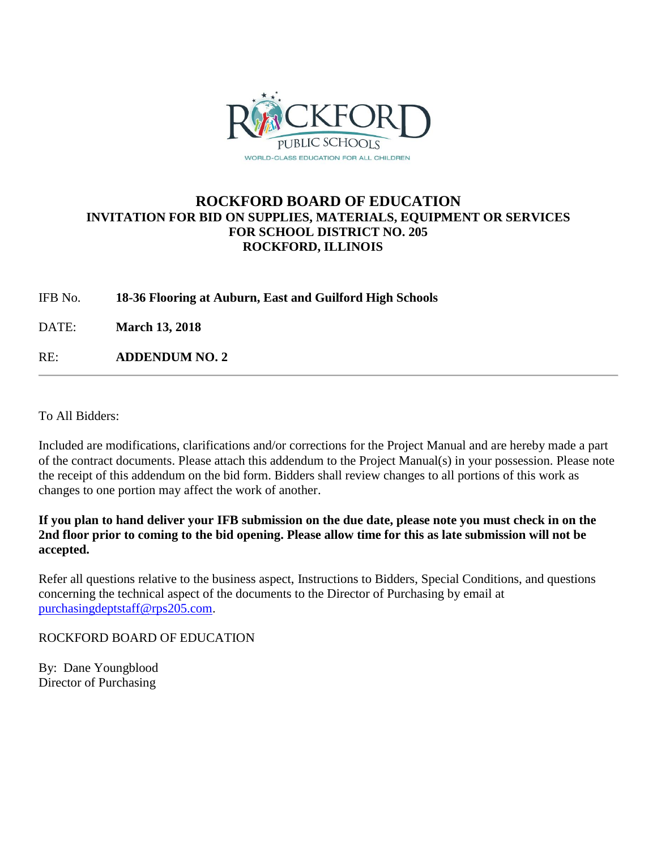

## **ROCKFORD BOARD OF EDUCATION INVITATION FOR BID ON SUPPLIES, MATERIALS, EQUIPMENT OR SERVICES FOR SCHOOL DISTRICT NO. 205 ROCKFORD, ILLINOIS**

IFB No. **18-36 Flooring at Auburn, East and Guilford High Schools**

DATE: **March 13, 2018**

RE: **ADDENDUM NO. 2**

To All Bidders:

Included are modifications, clarifications and/or corrections for the Project Manual and are hereby made a part of the contract documents. Please attach this addendum to the Project Manual(s) in your possession. Please note the receipt of this addendum on the bid form. Bidders shall review changes to all portions of this work as changes to one portion may affect the work of another.

**If you plan to hand deliver your IFB submission on the due date, please note you must check in on the 2nd floor prior to coming to the bid opening. Please allow time for this as late submission will not be accepted.**

Refer all questions relative to the business aspect, Instructions to Bidders, Special Conditions, and questions concerning the technical aspect of the documents to the Director of Purchasing by email at [purchasingdeptstaff@rps205.com.](mailto:purchasingdeptstaff@rps205.com)

ROCKFORD BOARD OF EDUCATION

By: Dane Youngblood Director of Purchasing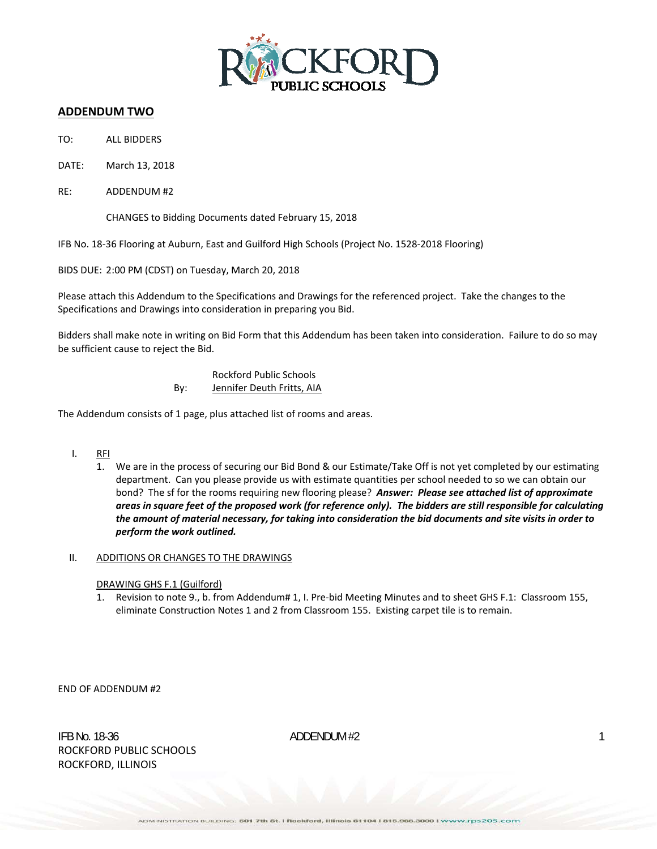

## **ADDENDUM TWO**

- TO: ALL BIDDERS
- DATE: March 13, 2018
- RE: ADDENDUM #2

CHANGES to Bidding Documents dated February 15, 2018

IFB No. 18‐36 Flooring at Auburn, East and Guilford High Schools (Project No. 1528‐2018 Flooring)

BIDS DUE: 2:00 PM (CDST) on Tuesday, March 20, 2018

Please attach this Addendum to the Specifications and Drawings for the referenced project. Take the changes to the Specifications and Drawings into consideration in preparing you Bid.

Bidders shall make note in writing on Bid Form that this Addendum has been taken into consideration. Failure to do so may be sufficient cause to reject the Bid.

> Rockford Public Schools By: Jennifer Deuth Fritts, AIA

The Addendum consists of 1 page, plus attached list of rooms and areas.

- I. RFI
	- 1. We are in the process of securing our Bid Bond & our Estimate/Take Off is not yet completed by our estimating department. Can you please provide us with estimate quantities per school needed to so we can obtain our bond? The sf for the rooms requiring new flooring please? *Answer: Please see attached list of approximate* areas in square feet of the proposed work (for reference only). The bidders are still responsible for calculating the amount of material necessary, for taking into consideration the bid documents and site visits in order to *perform the work outlined.*

## II. ADDITIONS OR CHANGES TO THE DRAWINGS

- DRAWING GHS F.1 (Guilford)
- 1. Revision to note 9., b. from Addendum# 1, I. Pre‐bid Meeting Minutes and to sheet GHS F.1: Classroom 155, eliminate Construction Notes 1 and 2 from Classroom 155. Existing carpet tile is to remain.

END OF ADDENDUM #2

IFB No. 18-36  $ADDENDUM #2$  1 ROCKFORD PUBLIC SCHOOLS ROCKFORD, ILLINOIS